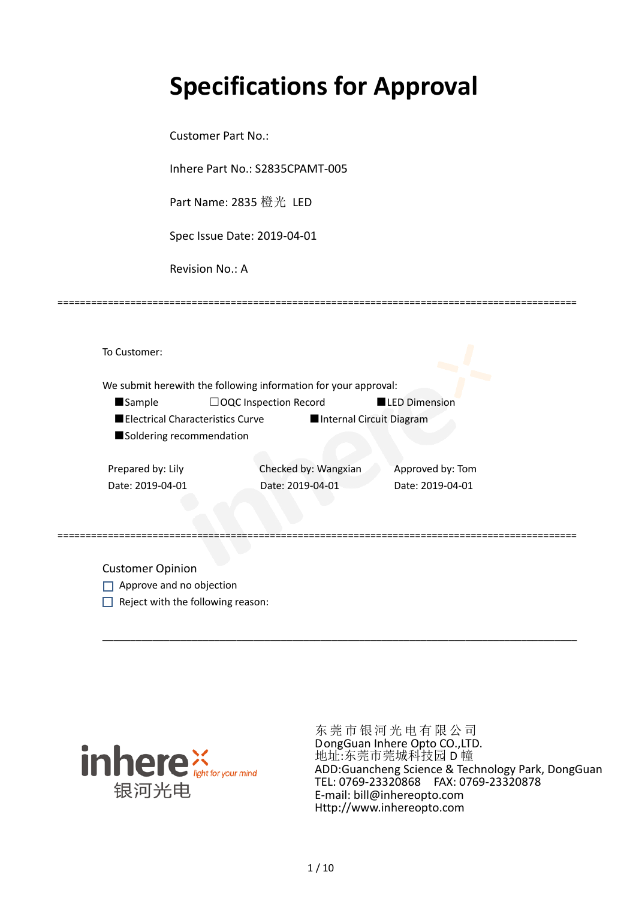# **Specifications for Approval**

Customer Part No.:

Inhere Part No.: S2835CPAMT-005

Part Name: 2835 橙光 LED

Spec Issue Date: 2019-04-01

Revision No.: A

|                          | We submit herewith the following information for your approval: |                          |
|--------------------------|-----------------------------------------------------------------|--------------------------|
| <b>Sample</b>            | $\Box$ OQC Inspection Record                                    | <b>LED Dimension</b>     |
|                          | Electrical Characteristics Curve                                | Internal Circuit Diagram |
| Soldering recommendation |                                                                 |                          |
| Prepared by: Lily        | Checked by: Wangxian                                            | Approved by: Tom         |
| Date: 2019-04-01         | Date: 2019-04-01                                                | Date: 2019-04-01         |
|                          |                                                                 |                          |

\_\_\_\_\_\_\_\_\_\_\_\_\_\_\_\_\_\_\_\_\_\_\_\_\_\_\_\_\_\_\_\_\_\_\_\_\_\_\_\_\_\_\_\_\_\_\_\_\_\_\_\_\_\_\_\_\_\_\_\_\_\_\_\_\_\_\_\_\_\_\_\_\_\_\_\_\_\_\_\_\_\_\_\_\_

=============================================================================================

Customer Opinion

- Approve and no objection
- $\Box$  Reject with the following reason:



东莞市银河光电有限公司 DongGuan Inhere Opto CO.,LTD. 地址:东莞市莞城科技园 D 幢 ADD:Guancheng Science & Technology Park, DongGuan TEL: 0769-23320868 FAX: 0769-23320878 E-mail: bill@inhereopto.com Http://www.inhereopto.com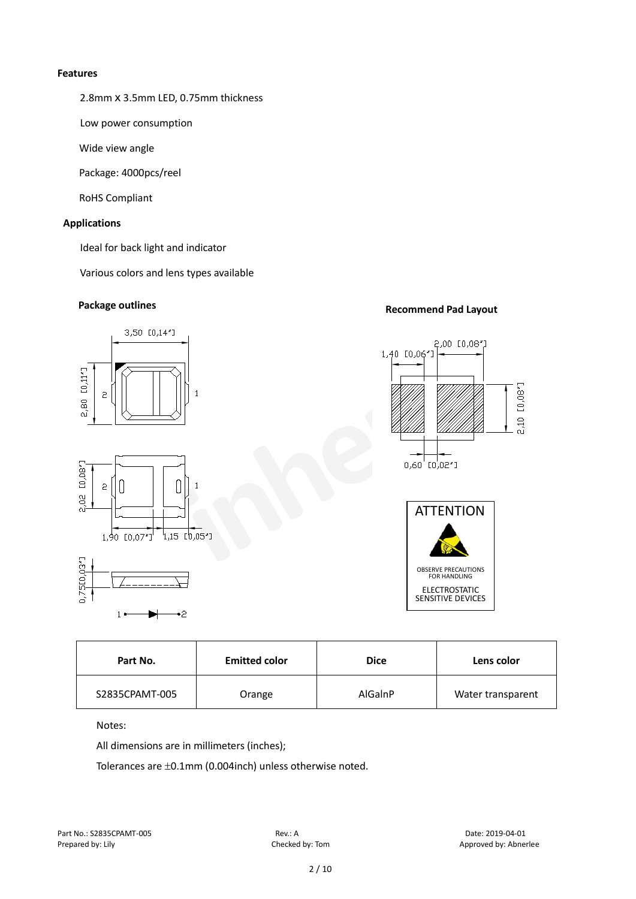#### **Features**

2.8mm x 3.5mm LED, 0.75mm thickness

Low power consumption

Wide view angle

Package: 4000pcs/reel

RoHS Compliant

#### **Applications**

Ideal for back light and indicator

Various colors and lens types available

### **Package outlines Recommend Pad Layout**



| Part No.       | <b>Emitted color</b> | <b>Dice</b> | Lens color        |
|----------------|----------------------|-------------|-------------------|
| S2835CPAMT-005 | Orange               | AlGaInP     | Water transparent |

Notes:

All dimensions are in millimeters (inches);

Tolerances are ±0.1mm (0.004inch) unless otherwise noted.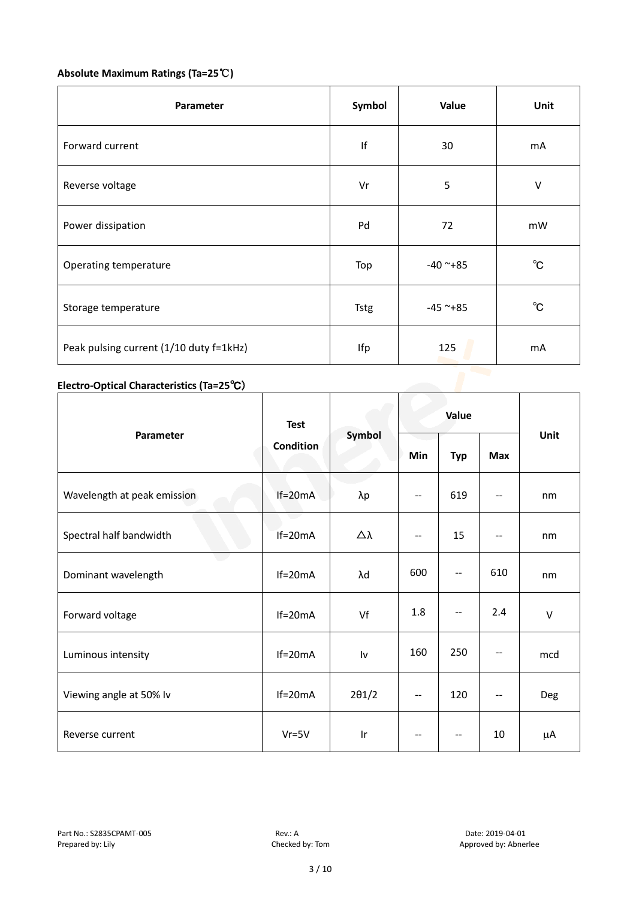#### **Absolute Maximum Ratings (Ta=25**℃**)**

| Parameter                               | Symbol      | Value         | Unit         |
|-----------------------------------------|-------------|---------------|--------------|
| Forward current                         | lf          | 30            | mA           |
| Reverse voltage                         | Vr          | 5             | $\vee$       |
| Power dissipation                       | Pd          | 72            | mW           |
| Operating temperature                   | Top         | $-40$ ~+85    | $^{\circ}C$  |
| Storage temperature                     | <b>Tstg</b> | $-45$ ~ $+85$ | $^{\circ}$ C |
| Peak pulsing current (1/10 duty f=1kHz) | Ifp         | 125           | mA           |

#### **Electro-Optical Characteristics (Ta=25**℃)

|                             | <b>Test</b><br><b>Condition</b> | Symbol                  | Value                    |                                               |                   |        |
|-----------------------------|---------------------------------|-------------------------|--------------------------|-----------------------------------------------|-------------------|--------|
| Parameter                   |                                 |                         | Min                      | <b>Typ</b>                                    | <b>Max</b>        | Unit   |
| Wavelength at peak emission | $If=20mA$                       | λp                      | --                       | 619                                           | $-$               | nm     |
| Spectral half bandwidth     | $If=20mA$                       | Δλ                      | $\overline{\phantom{a}}$ | 15                                            | $-$               | nm     |
| Dominant wavelength         | $If=20mA$                       | λd                      | 600                      | $\mathord{\hspace{1pt}\text{--}\hspace{1pt}}$ | 610               | nm     |
| Forward voltage             | $If=20mA$                       | Vf                      | 1.8                      | $\overline{\phantom{m}}$                      | 2.4               | $\vee$ |
| Luminous intensity          | $If=20mA$                       | Iv                      | 160                      | 250                                           | --                | mcd    |
| Viewing angle at 50% lv     | $If=20mA$                       | $2\theta$ 1/2           | $\overline{\phantom{m}}$ | 120                                           | $\qquad \qquad -$ | Deg    |
| Reverse current             | $Vr = 5V$                       | $\mathsf{I} \mathsf{r}$ | $-$                      | $\overline{\phantom{a}}$                      | 10                | μA     |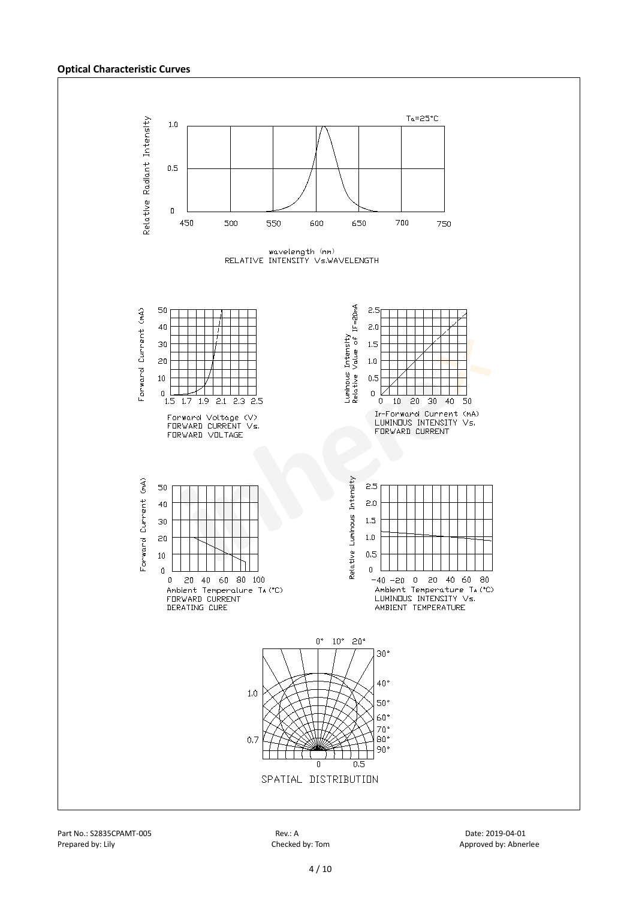#### **Optical Characteristic Curves**

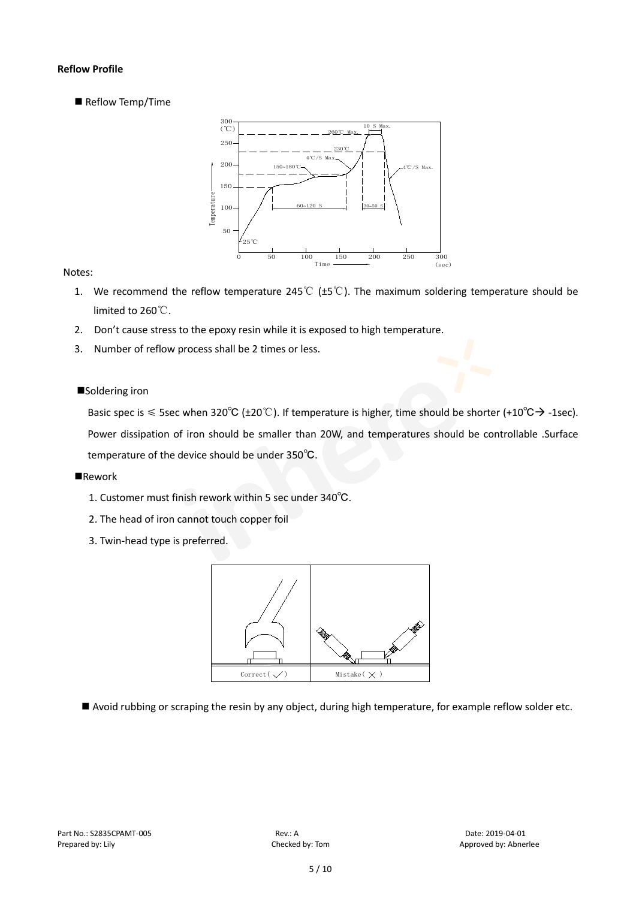#### **Reflow Profile**

Reflow Temp/Time



#### Notes:

- 1. We recommend the reflow temperature 245℃ (±5℃). The maximum soldering temperature should be limited to 260℃.
- 2. Don't cause stress to the epoxy resin while it is exposed to high temperature.
- 3. Number of reflow process shall be 2 times or less.

#### ■Soldering iron

Basic spec is  $\leq$  5sec when 320°C (±20°C). If temperature is higher, time should be shorter (+10°C $\rightarrow$ -1sec). Power dissipation of iron should be smaller than 20W, and temperatures should be controllable .Surface temperature of the device should be under 350℃.

#### **Rework**

- 1. Customer must finish rework within 5 sec under 340℃.
- 2. The head of iron cannot touch copper foil
- 3. Twin-head type is preferred.



Avoid rubbing or scraping the resin by any object, during high temperature, for example reflow solder etc.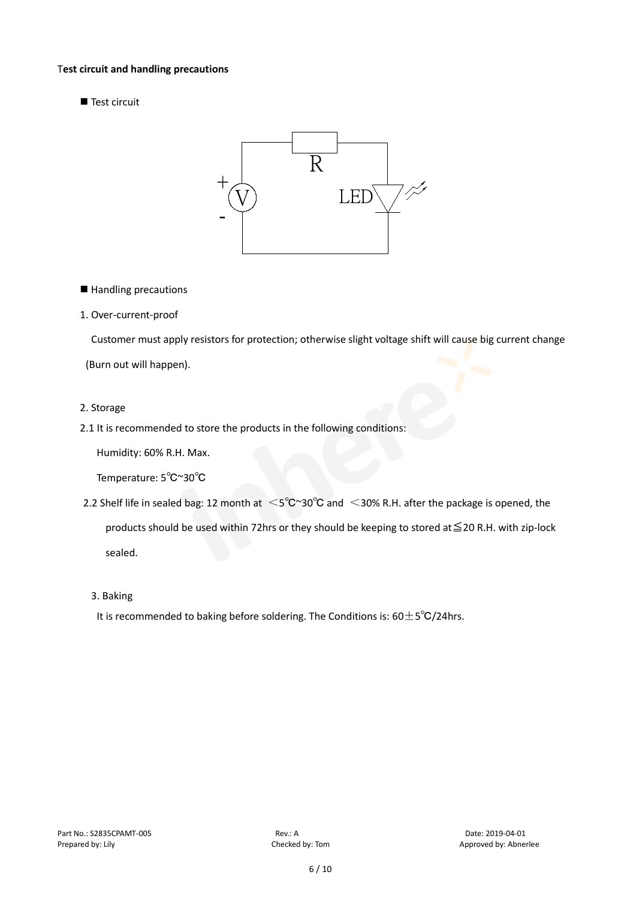#### T**est circuit and handling precautions**

Test circuit



■ Handling precautions

#### 1. Over-current-proof

Customer must apply resistors for protection; otherwise slight voltage shift will cause big current change

(Burn out will happen).

#### 2. Storage

2.1 It is recommended to store the products in the following conditions:

Humidity: 60% R.H. Max.

Temperature: 5℃~30℃

- 2.2 Shelf life in sealed bag: 12 month at <5℃~30°C and <30% R.H. after the package is opened, the products should be used within 72hrs or they should be keeping to stored at≦20 R.H. with zip-lock sealed.
	- 3. Baking

It is recommended to baking before soldering. The Conditions is:  $60±5°C/24$ hrs.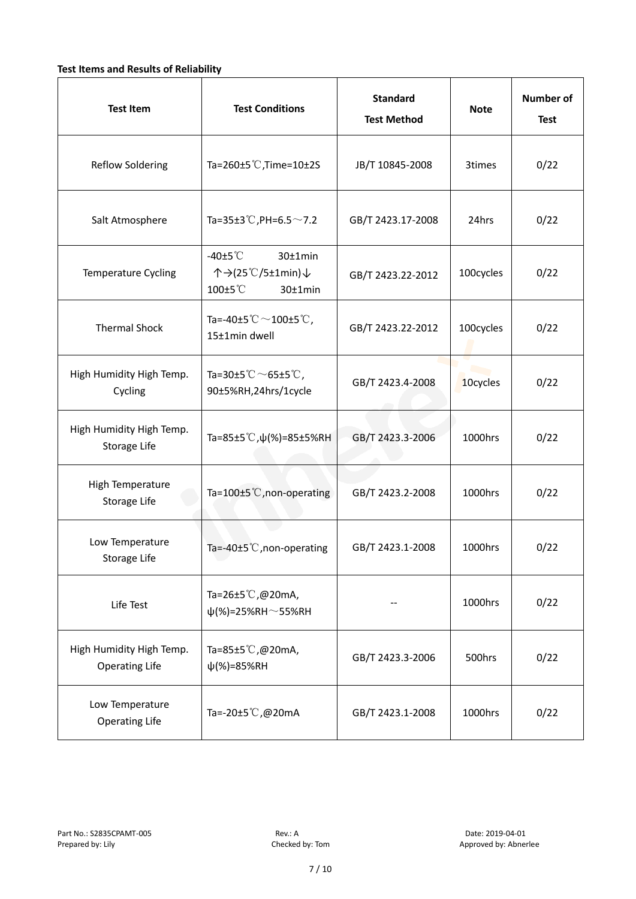#### **Test Items and Results of Reliability**

| <b>Test Item</b>                                  | <b>Test Conditions</b>                                                         | <b>Standard</b><br><b>Test Method</b> |           | <b>Number of</b><br><b>Test</b> |
|---------------------------------------------------|--------------------------------------------------------------------------------|---------------------------------------|-----------|---------------------------------|
| <b>Reflow Soldering</b>                           | Ta=260 $\pm$ 5 °C, Time=10 $\pm$ 2S                                            | JB/T 10845-2008                       | 3times    | 0/22                            |
| Salt Atmosphere                                   | Ta=35±3°C, PH=6.5 $\sim$ 7.2                                                   | GB/T 2423.17-2008                     | 24hrs     | 0/22                            |
| Temperature Cycling                               | -40 $±5^{\circ}$ C<br>$30±1$ min<br>个→(25℃/5±1min)↓<br>100±5°C<br>$30±1$ min   | GB/T 2423.22-2012                     | 100cycles | 0/22                            |
| <b>Thermal Shock</b>                              | Ta=-40±5 $\degree \text{C}$ $\sim$ 100±5 $\degree \text{C}$ ,<br>15±1min dwell | GB/T 2423.22-2012                     | 100cycles | 0/22                            |
| High Humidity High Temp.<br>Cycling               | Ta=30±5 °C $\sim$ 65±5 °C,<br>90±5%RH,24hrs/1cycle                             | GB/T 2423.4-2008                      | 10cycles  | 0/22                            |
| High Humidity High Temp.<br>Storage Life          | Ta=85±5 °C, $\psi$ (%)=85±5%RH                                                 | GB/T 2423.3-2006                      | 1000hrs   | 0/22                            |
| High Temperature<br><b>Storage Life</b>           | Ta=100±5°C, non-operating                                                      | GB/T 2423.2-2008                      | 1000hrs   | 0/22                            |
| Low Temperature<br>Storage Life                   | Ta=-40±5℃, non-operating                                                       | GB/T 2423.1-2008                      | 1000hrs   | 0/22                            |
| Life Test                                         | Ta=26±5℃,@20mA,<br>$\psi$ (%)=25%RH~55%RH                                      |                                       | 1000hrs   | 0/22                            |
| High Humidity High Temp.<br><b>Operating Life</b> | Ta=85±5 $\degree$ C, @20mA,<br>$\psi$ (%)=85%RH                                | GB/T 2423.3-2006                      | 500hrs    | 0/22                            |
| Low Temperature<br><b>Operating Life</b>          | Ta=-20±5℃,@20mA                                                                | GB/T 2423.1-2008                      | 1000hrs   | 0/22                            |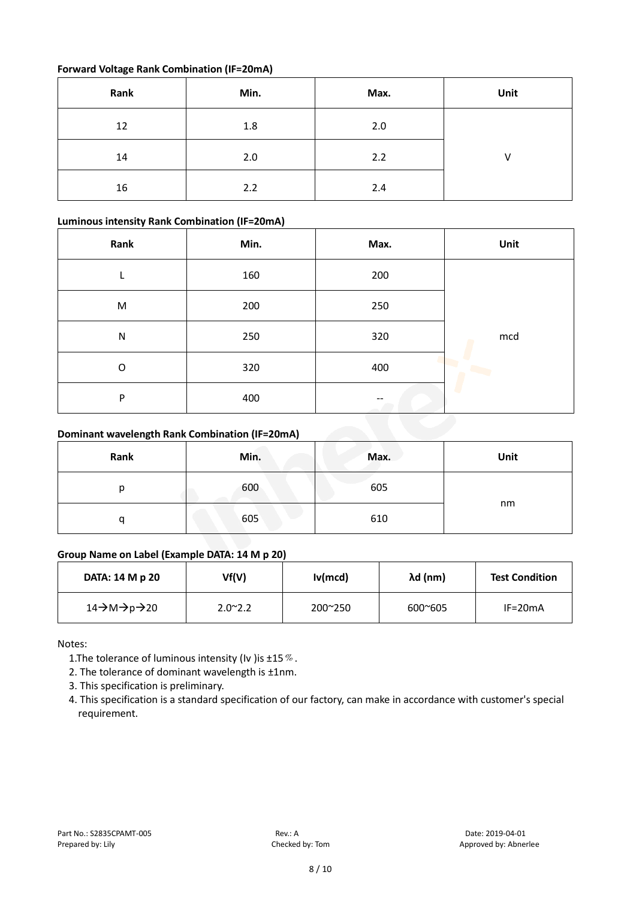#### **Forward Voltage Rank Combination (IF=20mA)**

| Rank | Min. | Max. | Unit         |
|------|------|------|--------------|
| 12   | 1.8  | 2.0  |              |
| 14   | 2.0  | 2.2  | $\mathsf{V}$ |
| 16   | 2.2  | 2.4  |              |

#### **Luminous intensity Rank Combination (IF=20mA)**

| Rank      | Min. | Max. | Unit |
|-----------|------|------|------|
|           | 160  | 200  |      |
| M         | 200  | 250  |      |
| ${\sf N}$ | 250  | 320  | mcd  |
| O         | 320  | 400  | Þ    |
| P         | 400  |      |      |

#### **Dominant wavelength Rank Combination (IF=20mA)**

| Rank | Min. | Max. | Unit |
|------|------|------|------|
| n    | 600  | 605  |      |
|      | 605  | 610  | nm   |

#### **Group Name on Label (Example DATA: 14 M p 20)**

| DATA: 14 M p 20 | Vf(V)           | Iv(mcd)          | λd (nm)          | <b>Test Condition</b> |
|-----------------|-----------------|------------------|------------------|-----------------------|
| 14→M→p→20       | $2.0^{\sim}2.2$ | $200^{\circ}250$ | $600^{\circ}605$ | $IF=20mA$             |

Notes:

1. The tolerance of luminous intensity (Iv ) is  $\pm 15\%$ .

2. The tolerance of dominant wavelength is ±1nm.

- 3. This specification is preliminary.
- 4. This specification is a standard specification of our factory, can make in accordance with customer's special requirement.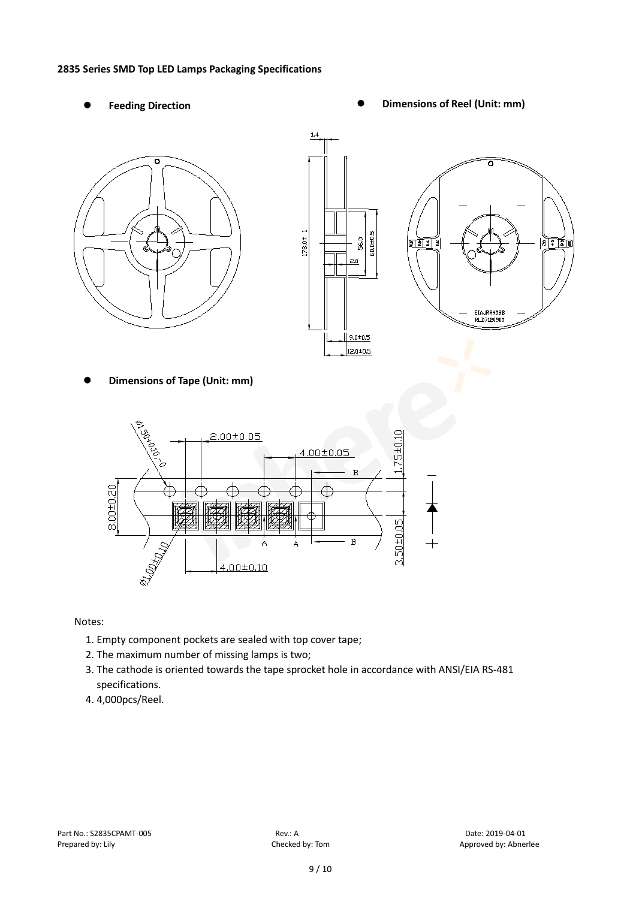#### **2835 Series SMD Top LED Lamps Packaging Specifications**

- 
- Feeding Direction **Constanting Construction Constanting Operations Construction Constanting Construction Constanting Construction**







**Dimensions of Tape (Unit: mm)**



Notes:

- 1. Empty component pockets are sealed with top cover tape;
- 2. The maximum number of missing lamps is two;
- 3. The cathode is oriented towards the tape sprocket hole in accordance with ANSI/EIA RS-481 specifications.
- 4. 4,000pcs/Reel.